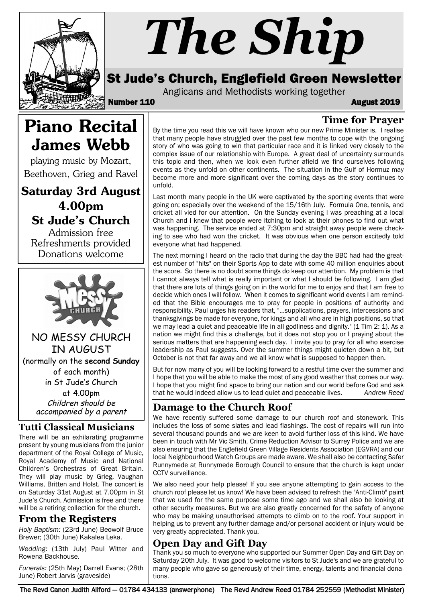

# *The Ship*

### St Jude's Church, Englefield Green Newsletter

Anglicans and Methodists working together

Number 110 August 2019

**Time for Prayer**

## Piano Recital James Webb

playing music by Mozart, Beethoven, Grieg and Ravel

Saturday 3rd August 4.00pm St Jude's Church

Admission free Refreshments provided Donations welcome



NO MESSY CHURCH IN AUGUST (normally on the **second Sunday** of each month) in St Jude's Church at 4.00pm Children should be accompanied by a parent

#### **Tutti Classical Musicians**

There will be an exhilarating programme present by young musicians from the junior department of the Royal College of Music, Royal Academy of Music and National Children's Orchestras of Great Britain. They will play music by Grieg, Vaughan Williams, Britten and Holst. The concert is on Saturday 31st August at 7.00pm in St Jude's Church. Admission is free and there will be a retiring collection for the church.

#### **From the Registers**

*Holy Baptism:* (23rd June) Beowolf Bruce Brewer; (30th June) Kakalea Leka.

*Wedding:* (13th July) Paul Witter and Rowena Backhouse.

*Funerals:* (25th May) Darrell Evans; (28th June) Robert Jarvis (graveside)

By the time you read this we will have known who our new Prime Minister is. I realise that many people have struggled over the past few months to cope with the ongoing story of who was going to win that particular race and it is linked very closely to the complex issue of our relationship with Europe. A great deal of uncertainty surrounds this topic and then, when we look even further afield we find ourselves following events as they unfold on other continents. The situation in the Gulf of Hormuz may become more and more significant over the coming days as the story continues to unfold.

Last month many people in the UK were captivated by the sporting events that were going on; especially over the weekend of the 15/16th July. Formula One, tennis, and cricket all vied for our attention. On the Sunday evening I was preaching at a local Church and I knew that people were itching to look at their phones to find out what was happening. The service ended at 7:30pm and straight away people were checking to see who had won the cricket. It was obvious when one person excitedly told everyone what had happened.

The next morning I heard on the radio that during the day the BBC had had the greatest number of "hits" on their Sports App to date with some 40 million enquiries about the score. So there is no doubt some things do keep our attention. My problem is that I cannot always tell what is really important or what I should be following. I am glad that there are lots of things going on in the world for me to enjoy and that I am free to decide which ones I will follow. When it comes to significant world events I am reminded that the Bible encourages me to pray for people in positions of authority and responsibility. Paul urges his readers that, "…supplications, prayers, intercessions and thanksgivings be made for everyone, for kings and all who are in high positions, so that we may lead a quiet and peaceable life in all godliness and dignity." (1 Tim 2: 1). As a nation we might find this a challenge, but it does not stop you or I praying about the serious matters that are happening each day. I invite you to pray for all who exercise leadership as Paul suggests. Over the summer things might quieten down a bit, but October is not that far away and we all know what is supposed to happen then.

But for now many of you will be looking forward to a restful time over the summer and I hope that you will be able to make the most of any good weather that comes our way. I hope that you might find space to bring our nation and our world before God and ask that he would indeed allow us to lead quiet and peaceable lives. *Andrew Reed*

#### **Damage to the Church Roof**

We have recently suffered some damage to our church roof and stonework. This includes the loss of some slates and lead flashings. The cost of repairs will run into several thousand pounds and we are keen to avoid further loss of this kind. We have been in touch with Mr Vic Smith, Crime Reduction Advisor to Surrey Police and we are also ensuring that the Englefield Green Village Residents Association (EGVRA) and our local Neighbourhood Watch Groups are made aware. We shall also be contacting Safer Runnymede at Runnymede Borough Council to ensure that the church is kept under CCTV surveillance.

We also need your help please! If you see anyone attempting to gain access to the church roof please let us know! We have been advised to refresh the "Anti-Climb" paint that we used for the same purpose some time ago and we shall also be looking at other security measures. But we are also greatly concerned for the safety of anyone who may be making unauthorised attempts to climb on to the roof. Your support in helping us to prevent any further damage and/or personal accident or injury would be very greatly appreciated. Thank you.

#### **Open Day and Gift Day**

Thank you so much to everyone who supported our Summer Open Day and Gift Day on Saturday 20th July. It was good to welcome visitors to St Jude's and we are grateful to many people who gave so generously of their time, energy, talents and financial donations.